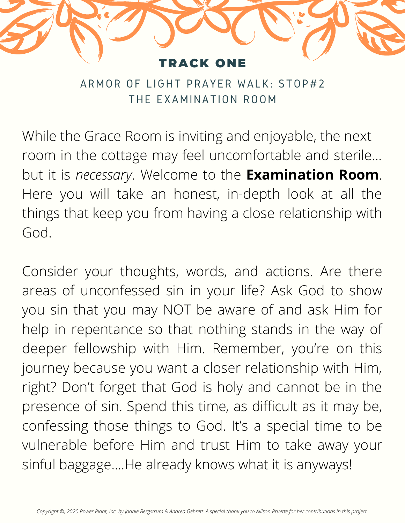

ARMOR OF LIGHT PRAYER WALK: STOP#2 THE EXAMINATION ROOM

While the Grace Room is inviting and enjoyable, the next room in the cottage may feel uncomfortable and sterile… but it is *necessary*. Welcome to the **Examination Room**. Here you will take an honest, in-depth look at all the things that keep you from having a close relationship with God.

Consider your thoughts, words, and actions. Are there areas of unconfessed sin in your life? Ask God to show you sin that you may NOT be aware of and ask Him for help in repentance so that nothing stands in the way of deeper fellowship with Him. Remember, you're on this journey because you want a closer relationship with Him, right? Don't forget that God is holy and cannot be in the presence of sin. Spend this time, as difficult as it may be, confessing those things to God. It's a special time to be vulnerable before Him and trust Him to take away your sinful baggage….He already knows what it is anyways!